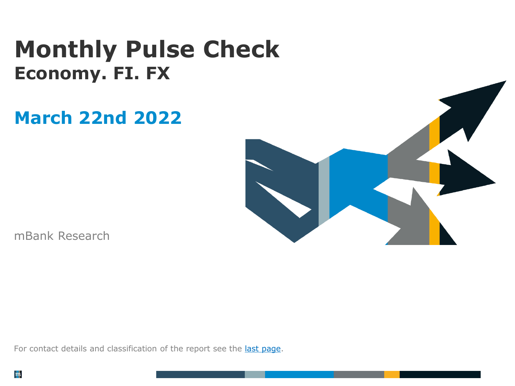# **Monthly Pulse Check Economy. FI. FX**

# **March 22nd 2022**



mBank Research

For contact details and classification of the report see the last [page.](#page-6-0)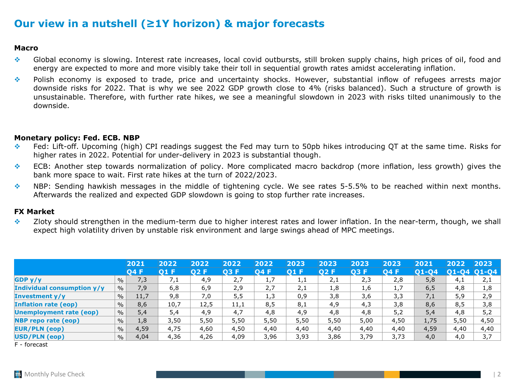## **Our view in a nutshell (≥1Y horizon) & major forecasts**

### **Macro**

- ❖ Global economy is slowing. Interest rate increases, local covid outbursts, still broken supply chains, high prices of oil, food and energy are expected to more and more visibly take their toll in sequential growth rates amidst accelerating inflation.
- ❖ Polish economy is exposed to trade, price and uncertainty shocks. However, substantial inflow of refugees arrests major downside risks for 2022. That is why we see 2022 GDP growth close to 4% (risks balanced). Such a structure of growth is unsustainable. Therefore, with further rate hikes, we see a meaningful slowdown in 2023 with risks tilted unanimously to the downside.

### **Monetary policy: Fed. ECB. NBP**

- ❖ Fed: Lift-off. Upcoming (high) CPI readings suggest the Fed may turn to 50pb hikes introducing QT at the same time. Risks for higher rates in 2022. Potential for under-delivery in 2023 is substantial though.
- ❖ ECB: Another step towards normalization of policy. More complicated macro backdrop (more inflation, less growth) gives the bank more space to wait. First rate hikes at the turn of 2022/2023.
- ❖ NBP: Sending hawkish messages in the middle of tightening cycle. We see rates 5-5.5% to be reached within next months. Afterwards the realized and expected GDP slowdown is going to stop further rate increases.

### **FX Market**

❖ Zloty should strengthen in the medium-term due to higher interest rates and lower inflation. In the near-term, though, we shall expect high volatility driven by unstable risk environment and large swings ahead of MPC meetings.

|                                   |               | 2021        | 2022 | 2022 | 2022 | 2022 | 2023 | 2023 | 2023 | 2023 | 2021  | 2022       | 2023      |
|-----------------------------------|---------------|-------------|------|------|------|------|------|------|------|------|-------|------------|-----------|
|                                   |               | <b>O4 F</b> | 01 F | 02 F | 03 F | 04 F | 01 F | 02 F | 03 F | 04 F | 01-04 | 01<br>L-04 | $ O1-O4 $ |
| GDP y/y                           | $\frac{0}{0}$ | 7,3         | 7,1  | 4,9  | 2,7  | 1,7  | 1,1  | 2,1  | 2,3  | 2,8  | 5,8   | 4,1        | 2,1       |
| <b>Individual consumption y/y</b> | $\frac{0}{0}$ | 7,9         | 6,8  | 6,9  | 2,9  | 2,7  | 2,1  | 1,8  | 1,6  | 1,7  | 6, 5  | 4,8        | 1,8       |
| Investment y/y                    | $\%$          | 11,7        | 9,8  | 7,0  | 5, 5 | 1,3  | 0,9  | 3,8  | 3,6  | 3,3  | 7,1   | 5,9        | 2,9       |
| <b>Inflation rate (eop)</b>       | $\frac{0}{0}$ | 8,6         | 10,7 | 12,5 | 11,1 | 8,5  | 8,1  | 4,9  | 4,3  | 3,8  | 8,6   | 8,5        | 3,8       |
| Unemployment rate (eop)           | $\%$          | 5,4         | 5,4  | 4,9  | 4,7  | 4,8  | 4,9  | 4,8  | 4,8  | 5,2  | 5,4   | 4,8        | 5,2       |
| <b>NBP</b> repo rate (eop)        | $\%$          | 1,8         | 3,50 | 5,50 | 5,50 | 5,50 | 5,50 | 5,50 | 5,00 | 4,50 | 1,75  | 5,50       | 4,50      |
| <b>EUR/PLN (eop)</b>              | $\frac{0}{0}$ | 4,59        | 4,75 | 4,60 | 4,50 | 4,40 | 4,40 | 4,40 | 4,40 | 4,40 | 4,59  | 4,40       | 4,40      |
| USD/PLN (eop)                     | $\frac{0}{0}$ | 4,04        | 4,36 | 4,26 | 4,09 | 3,96 | 3,93 | 3,86 | 3,79 | 3.73 | 4,0   | 4,0        | 3.7       |

F - forecast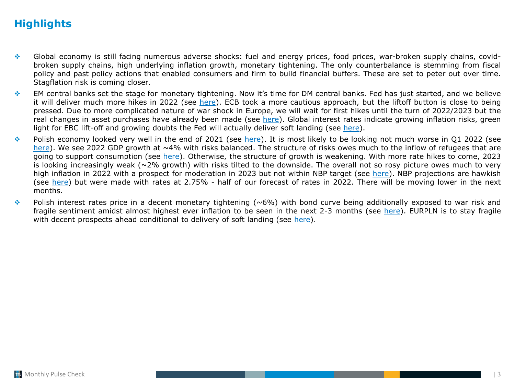## **Highlights**

- ❖ Global economy is still facing numerous adverse shocks: fuel and energy prices, food prices, war-broken supply chains, covidbroken supply chains, high underlying inflation growth, monetary tightening. The only counterbalance is stemming from fiscal policy and past policy actions that enabled consumers and firm to build financial buffers. These are set to peter out over time. Stagflation risk is coming closer.
- ❖ EM central banks set the stage for monetary tightening. Now it's time for DM central banks. Fed has just started, and we believe it will deliver much more hikes in 2022 (see [here\)](#page-3-0). ECB took a more cautious approach, but the liftoff button is close to being pressed. Due to more complicated nature of war shock in Europe, we will wait for first hikes until the turn of 2022/2023 but the real changes in asset purchases have already been made (see [here](#page-4-0)). Global interest rates indicate growing inflation risks, green light for EBC lift-off and growing doubts the Fed will actually deliver soft landing (see [here\)](#page-5-0).
- ❖ Polish economy looked very well in the end of 2021 (see [here\)](#page-10-0). It is most likely to be looking not much worse in Q1 2022 (see [here](#page-8-0)). We see 2022 GDP growth at ~4% with risks balanced. The structure of risks owes much to the inflow of refugees that are going to support consumption (see [here\)](#page-11-0). Otherwise, the structure of growth is weakening. With more rate hikes to come, 2023 is looking increasingly weak ( $\sim$ 2% growth) with risks tilted to the downside. The overall not so rosy picture owes much to very high inflation in 2022 with a prospect for moderation in 2023 but not within NBP target (see [here\)](#page-13-0). NBP projections are hawkish (see [here\)](#page-15-0) but were made with rates at 2.75% - half of our forecast of rates in 2022. There will be moving lower in the next months.
- $\bullet$  Polish interest rates price in a decent monetary tightening (~6%) with bond curve being additionally exposed to war risk and fragile sentiment amidst almost highest ever inflation to be seen in the next 2-3 months (see [here\)](#page-17-0). EURPLN is to stay fragile with decent prospects ahead conditional to delivery of soft landing (see [here\)](#page-18-0).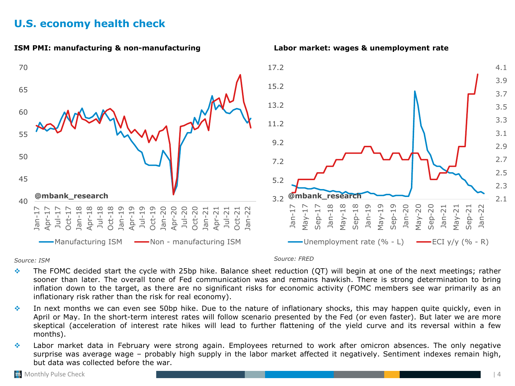## <span id="page-3-0"></span>**U.S. economy health check**



*Source: ISM Source: FRED*

- $\div$  The FOMC decided start the cycle with 25bp hike. Balance sheet reduction (QT) will begin at one of the next meetings; rather sooner than later. The overall tone of Fed communication was and remains hawkish. There is strong determination to bring inflation down to the target, as there are no significant risks for economic activity (FOMC members see war primarily as an inflationary risk rather than the risk for real economy).
- ❖ In next months we can even see 50bp hike. Due to the nature of inflationary shocks, this may happen quite quickly, even in April or May. In the short-term interest rates will follow scenario presented by the Fed (or even faster). But later we are more skeptical (acceleration of interest rate hikes will lead to further flattening of the yield curve and its reversal within a few months).
- ❖ Labor market data in February were strong again. Employees returned to work after omicron absences. The only negative surprise was average wage – probably high supply in the labor market affected it negatively. Sentiment indexes remain high, but data was collected before the war.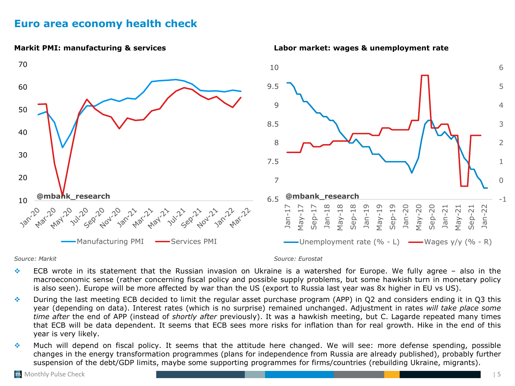## <span id="page-4-0"></span>**Euro area economy health check**



*Source: Markit Source: Eurostat*

- ❖ ECB wrote in its statement that the Russian invasion on Ukraine is a watershed for Europe. We fully agree also in the macroeconomic sense (rather concerning fiscal policy and possible supply problems, but some hawkish turn in monetary policy is also seen). Europe will be more affected by war than the US (export to Russia last year was 8x higher in EU vs US).
- ❖ During the last meeting ECB decided to limit the regular asset purchase program (APP) in Q2 and considers ending it in Q3 this year (depending on data). Interest rates (which is no surprise) remained unchanged. Adjustment in rates *will take place some time after* the end of APP (instead of *shortly after* previously). It was a hawkish meeting, but C. Lagarde repeated many times that ECB will be data dependent. It seems that ECB sees more risks for inflation than for real growth. Hike in the end of this year is very likely.
- ❖ Much will depend on fiscal policy. It seems that the attitude here changed. We will see: more defense spending, possible changes in the energy transformation programmes (plans for independence from Russia are already published), probably further suspension of the debt/GDP limits, maybe some supporting programmes for firms/countries (rebuilding Ukraine, migrants).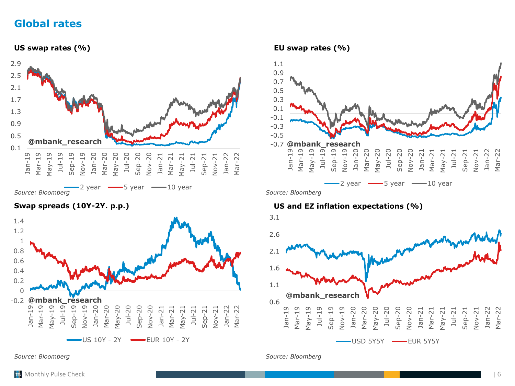## <span id="page-5-0"></span>**Global rates**



*Source: Bloomberg*



*Source: Bloomberg Source: Bloomberg*



### **Swap spreads (10Y-2Y. p.p.) US and EZ inflation expectations (%)**

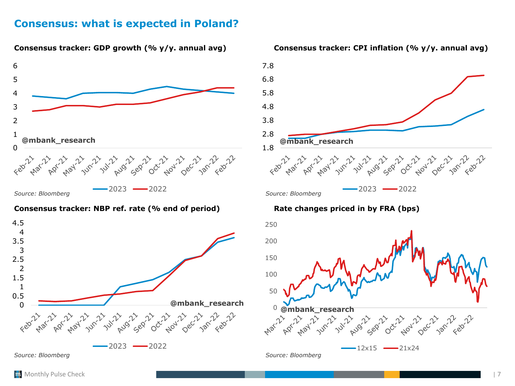## <span id="page-6-0"></span>**Consensus: what is expected in Poland?**



#### **Consensus tracker: NBP ref. rate (% end of period) Rate changes priced in by FRA (bps)**





#### **Consensus tracker: GDP growth (% y/y. annual avg) Consensus tracker: CPI inflation (% y/y. annual avg)**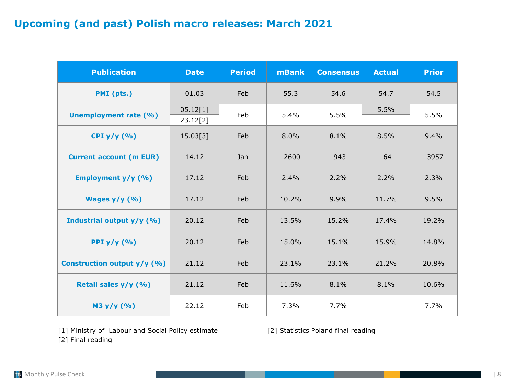## **Upcoming (and past) Polish macro releases: March 2021**

| <b>Publication</b>             | <b>Date</b>          | <b>Period</b> | <b>mBank</b> | <b>Consensus</b> | <b>Actual</b> | <b>Prior</b> |
|--------------------------------|----------------------|---------------|--------------|------------------|---------------|--------------|
| PMI (pts.)                     | 01.03                | Feb           | 55.3         | 54.6             | 54.7          | 54.5         |
| <b>Unemployment rate (%)</b>   | 05.12[1]<br>23.12[2] | Feb           | 5.4%         | 5.5%             | 5.5%          | 5.5%         |
| CPI $y/y$ (%)                  | 15.03[3]             | Feb           | $8.0\%$      | 8.1%             | 8.5%          | 9.4%         |
| <b>Current account (m EUR)</b> | 14.12                | Jan           | $-2600$      | $-943$           | $-64$         | $-3957$      |
| Employment $y/y$ (%)           | 17.12                | Feb           | $2.4\%$      | 2.2%             | 2.2%          | 2.3%         |
| Wages $y/y$ (%)                | 17.12                | Feb           | 10.2%        | 9.9%             | 11.7%         | 9.5%         |
| Industrial output y/y (%)      | 20.12                | Feb           | 13.5%        | 15.2%            | 17.4%         | 19.2%        |
| PPI $y/y$ (%)                  | 20.12                | Feb           | 15.0%        | 15.1%            | 15.9%         | 14.8%        |
| Construction output y/y (%)    | 21.12                | Feb           | 23.1%        | 23.1%            | 21.2%         | 20.8%        |
| Retail sales y/y (%)           | 21.12                | Feb           | 11.6%        | 8.1%             | 8.1%          | 10.6%        |
| M3 y/y (%)                     | 22.12                | Feb           | 7.3%         | 7.7%             |               | 7.7%         |

[1] Ministry of Labour and Social Policy estimate [2] Statistics Poland final reading [2] Final reading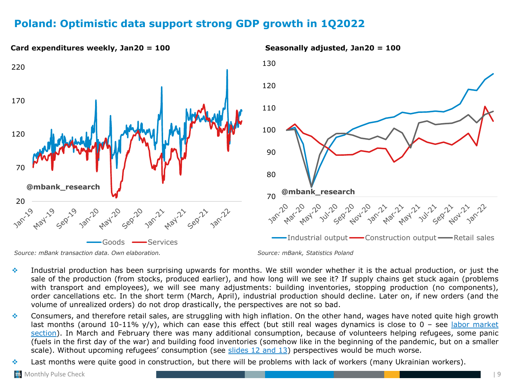## <span id="page-8-0"></span>**Poland: Optimistic data support strong GDP growth in 1Q2022**



- ❖ Industrial production has been surprising upwards for months. We still wonder whether it is the actual production, or just the sale of the production (from stocks, produced earlier), and how long will we see it? If supply chains get stuck again (problems with transport and employees), we will see many adjustments: building inventories, stopping production (no components), order cancellations etc. In the short term (March, April), industrial production should decline. Later on, if new orders (and the volume of unrealized orders) do not drop drastically, the perspectives are not so bad.
- ❖ Consumers, and therefore retail sales, are struggling with high inflation. On the other hand, wages have noted quite high growth last months (around 10-11% y/y), which can ease this effect (but still real wages dynamics is close to  $0$  – see labor market section). In March and February there was many additional [consumption,](#page-16-0) because of volunteers helping refugees, some panic (fuels in the first day of the war) and building food inventories (somehow like in the beginning of the pandemic, but on a smaller scale). Without upcoming refugees' consumption (see [slides](#page-11-0) 12 and 13) perspectives would be much worse.
- ❖ Last months were quite good in construction, but there will be problems with lack of workers (many Ukrainian workers).

Monthly Pulse Check | 9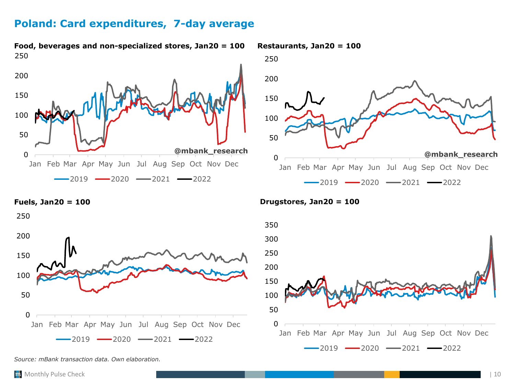## <span id="page-9-0"></span>**Poland: Card expenditures, 7-day average**



**Food, beverages and non-specialized stores, Jan20 = 100 Restaurants, Jan20 = 100**





*Source: mBank transaction data. Own elaboration.*

**Fuels, Jan20 = 100 Drugstores, Jan20 = 100**

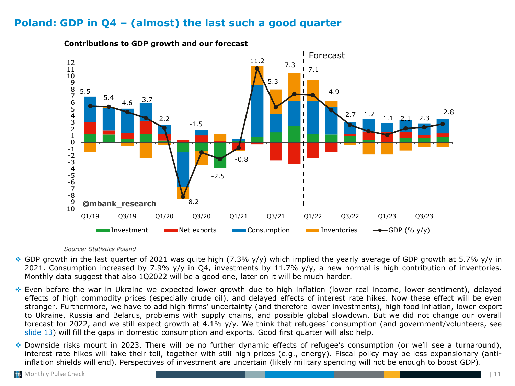## <span id="page-10-0"></span>**Poland: GDP in Q4 – (almost) the last such a good quarter**



**Contributions to GDP growth and our forecast**

#### *Source: Statistics Poland*

- ◆ GDP growth in the last quarter of 2021 was quite high (7.3% y/y) which implied the yearly average of GDP growth at 5.7% y/y in 2021. Consumption increased by 7.9% y/y in Q4, investments by 11.7% y/y, a new normal is high contribution of inventories. Monthly data suggest that also 1Q2022 will be a good one, later on it will be much harder.
- ❖ Even before the war in Ukraine we expected lower growth due to high inflation (lower real income, lower sentiment), delayed effects of high commodity prices (especially crude oil), and delayed effects of interest rate hikes. Now these effect will be even stronger. Furthermore, we have to add high firms' uncertainty (and therefore lower investments), high food inflation, lower export to Ukraine, Russia and Belarus, problems with supply chains, and possible global slowdown. But we did not change our overall forecast for 2022, and we still expect growth at 4.1% y/y. We think that refugees' consumption (and government/volunteers, see [slide](#page-12-0) 13) will fill the gaps in domestic consumption and exports. Good first quarter will also help.
- ❖ Downside risks mount in 2023. There will be no further dynamic effects of refugee's consumption (or we'll see a turnaround), interest rate hikes will take their toll, together with still high prices (e.g., energy). Fiscal policy may be less expansionary (antiinflation shields will end). Perspectives of investment are uncertain (likely military spending will not be enough to boost GDP).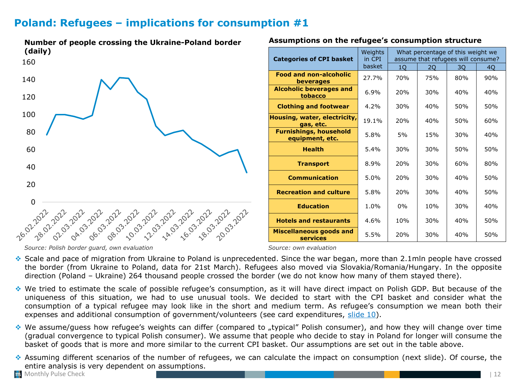## <span id="page-11-0"></span>**Poland: Refugees – implications for consumption #1**



### **Assumptions on the refugee's consumption structure**

| <b>Categories of CPI basket</b>                  | Weights<br>in CPI | What percentage of this weight we<br>assume that refugees will consume? |     |     |     |  |  |  |
|--------------------------------------------------|-------------------|-------------------------------------------------------------------------|-----|-----|-----|--|--|--|
|                                                  | basket            | 10 <sub>1</sub>                                                         | 2Q  | 3Q  | 40  |  |  |  |
| <b>Food and non-alcoholic</b><br>beverages       | 27.7%             | 70%                                                                     | 75% | 80% | 90% |  |  |  |
| <b>Alcoholic beverages and</b><br>tobacco        | 6.9%              | 20%                                                                     | 30% | 40% | 40% |  |  |  |
| <b>Clothing and footwear</b>                     | 4.2%              | 30%                                                                     | 40% | 50% | 50% |  |  |  |
| Housing, water, electricity,<br>gas, etc.        | 19.1%             | 20%                                                                     | 40% | 50% | 60% |  |  |  |
| <b>Furnishings, household</b><br>equipment, etc. | 5.8%              | 5%                                                                      | 15% | 30% | 40% |  |  |  |
| <b>Health</b>                                    | 5.4%              | 30%                                                                     | 30% | 50% | 50% |  |  |  |
| <b>Transport</b>                                 | 8.9%              | 20%                                                                     | 30% | 60% | 80% |  |  |  |
| <b>Communication</b>                             | 5.0%              | 20%                                                                     | 30% | 40% | 50% |  |  |  |
| <b>Recreation and culture</b>                    | 5.8%              | 20%                                                                     | 30% | 40% | 50% |  |  |  |
| <b>Education</b>                                 | 1.0%              | $0\%$                                                                   | 10% | 30% | 40% |  |  |  |
| <b>Hotels and restaurants</b>                    | 4.6%              | 10%                                                                     | 30% | 40% | 50% |  |  |  |
| <b>Miscellaneous goods and</b><br>services       | 5.5%              | 20%                                                                     | 30% | 40% | 50% |  |  |  |

*Source: Polish border guard, own evaluation Source: own evaluation*

❖ Scale and pace of migration from Ukraine to Poland is unprecedented. Since the war began, more than 2.1mln people have crossed the border (from Ukraine to Poland, data for 21st March). Refugees also moved via Slovakia/Romania/Hungary. In the opposite direction (Poland – Ukraine) 264 thousand people crossed the border (we do not know how many of them stayed there).

- ❖ We tried to estimate the scale of possible refugee's consumption, as it will have direct impact on Polish GDP. But because of the uniqueness of this situation, we had to use unusual tools. We decided to start with the CPI basket and consider what the consumption of a typical refugee may look like in the short and medium term. As refugee's consumption we mean both their expenses and additional consumption of government/volunteers (see card expenditures, [slide](#page-9-0) 10).
- ❖ We assume/guess how refugee's weights can differ (compared to "typical" Polish consumer), and how they will change over time (gradual convergence to typical Polish consumer). We assume that people who decide to stay in Poland for longer will consume the basket of goods that is more and more similar to the current CPI basket. Our assumptions are set out in the table above.
- ❖ Assuming different scenarios of the number of refugees, we can calculate the impact on consumption (next slide). Of course, the entire analysis is very dependent on assumptions.
- **Monthly Pulse Check**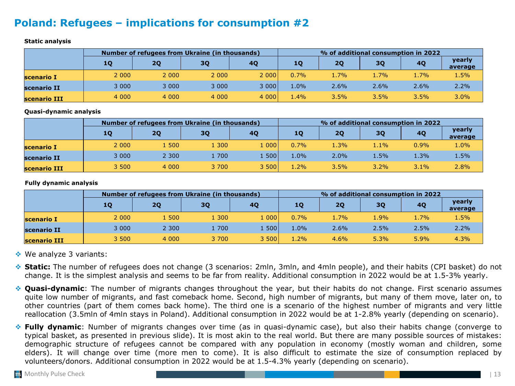## <span id="page-12-0"></span>**Poland: Refugees – implications for consumption #2**

#### **Static analysis**

|              |         | Number of refugees from Ukraine (in thousands) |         |           | % of additional consumption in 2022 |           |      |           |                   |  |  |
|--------------|---------|------------------------------------------------|---------|-----------|-------------------------------------|-----------|------|-----------|-------------------|--|--|
|              | 10      | 2Q                                             | 30      | <b>40</b> | 10                                  | <b>2Q</b> | 30   | <b>40</b> | yearly<br>average |  |  |
| scenario I   | 2 0 0 0 | 2 0 0 0                                        | 2 0 0 0 | 2 000     | 0.7%                                | 1.7%      | 1.7% | $1.7\%$   | 1.5%              |  |  |
| scenario II  | 3 0 0 0 | 3 0 0 0                                        | 3 0 0 0 | 3 000     | 1.0%                                | 2.6%      | 2.6% | 2.6%      | 2.2%              |  |  |
| scenario III | 4 0 0 0 | 4 0 0 0                                        | 4 0 0 0 | 4 000     | $1.4\%$                             | $3.5\%$   | 3.5% | 3.5%      | 3.0%              |  |  |

**Quasi-dynamic analysis**

|              |         | Number of refugees from Ukraine (in thousands) |       |       | % of additional consumption in 2022 |         |           |         |                   |  |  |
|--------------|---------|------------------------------------------------|-------|-------|-------------------------------------|---------|-----------|---------|-------------------|--|--|
|              | 10      | 2Q                                             | 3Q    | 40    | 10                                  | 20      | <b>3Q</b> | 40      | yearly<br>average |  |  |
| scenario I   | 2 0 0 0 | 1500                                           | 1 300 | . 000 | 0.7%                                | 1.3%    | 1.1%      | 0.9%    | 1.0%              |  |  |
| scenario II  | 3 0 0 0 | 2 3 0 0                                        | 1700  | 500   | 1.0%                                | 2.0%    | 1.5%      | 1.3%    | 1.5%              |  |  |
| scenario III | 3 500   | 4 0 0 0                                        | 3 700 | 3500  | 1.2%                                | $3.5\%$ | 3.2%      | $3.1\%$ | 2.8%              |  |  |

**Fully dynamic analysis**

|              | Number of refugees from Ukraine (in thousands) |         |           |         |         | % of additional consumption in 2022 |           |      |                   |  |  |  |
|--------------|------------------------------------------------|---------|-----------|---------|---------|-------------------------------------|-----------|------|-------------------|--|--|--|
|              | 10                                             | 2Q      | <b>3Q</b> | 4Q      | 10      | 20                                  | <b>3Q</b> | 40   | yearly<br>average |  |  |  |
| scenario I   | 2 0 0 0                                        | 1500    | 1 300     | l 000 l | 0.7%    | 1.7%                                | 1.9%      | 1.7% | 1.5%              |  |  |  |
| scenario II  | 3 0 0 0                                        | 2 3 0 0 | 1700      | .500V   | $1.0\%$ | 2.6%                                | 2.5%      | 2.5% | 2.2%              |  |  |  |
| scenario III | 3 500                                          | 4 0 0 0 | 3 700     | 3 500   | 1.2%    | 4.6%                                | 5.3%      | 5.9% | 4.3%              |  |  |  |

❖ We analyze 3 variants:

- ❖ **Static:** The number of refugees does not change (3 scenarios: 2mln, 3mln, and 4mln people), and their habits (CPI basket) do not change. It is the simplest analysis and seems to be far from reality. Additional consumption in 2022 would be at 1.5-3% yearly.
- ❖ **Quasi-dynamic**: The number of migrants changes throughout the year, but their habits do not change. First scenario assumes quite low number of migrants, and fast comeback home. Second, high number of migrants, but many of them move, later on, to other countries (part of them comes back home). The third one is a scenario of the highest number of migrants and very little reallocation (3.5mln of 4mln stays in Poland). Additional consumption in 2022 would be at 1-2.8% yearly (depending on scenario).
- ❖ **Fully dynamic**: Number of migrants changes over time (as in quasi-dynamic case), but also their habits change (converge to typical basket, as presented in previous slide). It is most akin to the real world. But there are many possible sources of mistakes: demographic structure of refugees cannot be compared with any population in economy (mostly woman and children, some elders). It will change over time (more men to come). It is also difficult to estimate the size of consumption replaced by volunteers/donors. Additional consumption in 2022 would be at 1.5-4.3% yearly (depending on scenario).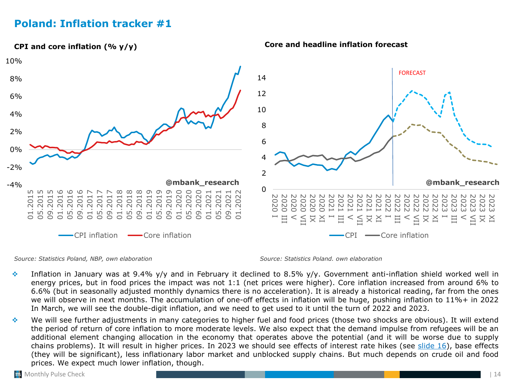## <span id="page-13-0"></span>**Poland: Inflation tracker #1**



### **Core and headline inflation forecast**

*Source: Statistics Poland, NBP, own elaboration Source: Statistics Poland. own elaboration*

- ❖ Inflation in January was at 9.4% y/y and in February it declined to 8.5% y/y. Government anti-inflation shield worked well in energy prices, but in food prices the impact was not 1:1 (net prices were higher). Core inflation increased from around 6% to 6.6% (but in seasonally adjusted monthly dynamics there is no acceleration). It is already a historical reading, far from the ones we will observe in next months. The accumulation of one-off effects in inflation will be huge, pushing inflation to 11%+ in 2022 In March, we will see the double-digit inflation, and we need to get used to it until the turn of 2022 and 2023.
- ❖ We will see further adjustments in many categories to higher fuel and food prices (those two shocks are obvious). It will extend the period of return of core inflation to more moderate levels. We also expect that the demand impulse from refugees will be an additional element changing allocation in the economy that operates above the potential (and it will be worse due to supply chains problems). It will result in higher prices. In 2023 we should see effects of interest rate hikes (see [slide](#page-15-0) 16), base effects (they will be significant), less inflationary labor market and unblocked supply chains. But much depends on crude oil and food prices. We expect much lower inflation, though.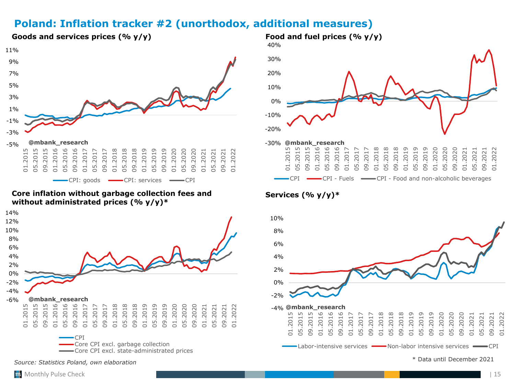## **Poland: Inflation tracker #2 (unorthodox, additional measures)**



#### **Core inflation without garbage collection fees and without administrated prices (% y/y)\***





### **Services (% y/y)\***



**Goods and services prices (% y/y) Food and fuel prices (% y/y)**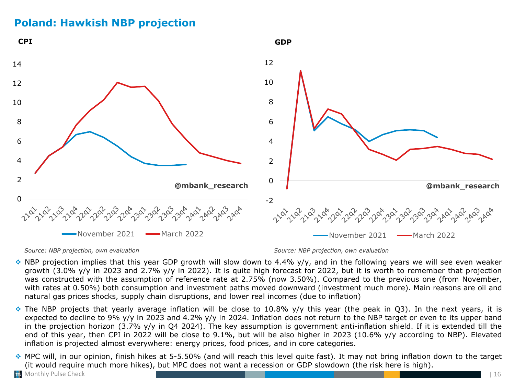## <span id="page-15-0"></span>**Poland: Hawkish NBP projection**



*Source: NBP projection, own evaluation Source: NBP projection, own evaluation*

- $\bullet$  NBP projection implies that this year GDP growth will slow down to 4.4% y/y, and in the following years we will see even weaker growth (3.0% y/y in 2023 and 2.7% y/y in 2022). It is quite high forecast for 2022, but it is worth to remember that projection was constructed with the assumption of reference rate at 2.75% (now 3.50%). Compared to the previous one (from November, with rates at 0.50%) both consumption and investment paths moved downward (investment much more). Main reasons are oil and natural gas prices shocks, supply chain disruptions, and lower real incomes (due to inflation)
- ❖ The NBP projects that yearly average inflation will be close to 10.8% y/y this year (the peak in Q3). In the next years, it is expected to decline to 9% y/y in 2023 and 4.2% y/y in 2024. Inflation does not return to the NBP target or even to its upper band in the projection horizon (3.7% y/y in Q4 2024). The key assumption is government anti-inflation shield. If it is extended till the end of this year, then CPI in 2022 will be close to 9.1%, but will be also higher in 2023 (10.6% y/y according to NBP). Elevated inflation is projected almost everywhere: energy prices, food prices, and in core categories.
- ❖ MPC will, in our opinion, finish hikes at 5-5.50% (and will reach this level quite fast). It may not bring inflation down to the target (it would require much more hikes), but MPC does not want a recession or GDP slowdown (the risk here is high).

**Monthly Pulse Check**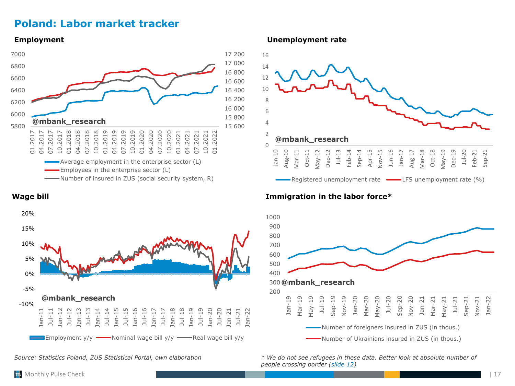## <span id="page-16-0"></span>**Poland: Labor market tracker**





*Source: Statistics Poland, ZUS Statistical Portal, own elaboration*

**Employment Unemployment rate**



### **Wage bill Immigration in the labor force\***



*\* We do not see refugees in these data. Better look at absolute number of people crossing border [\(slide](#page-11-0) 12)*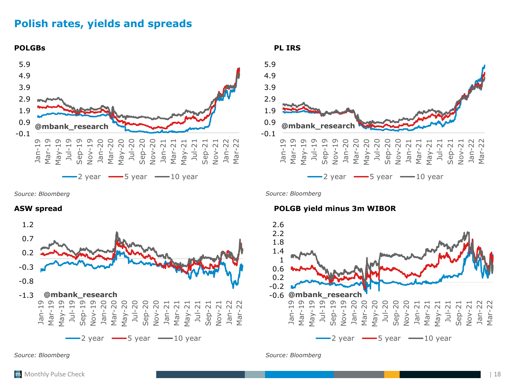## <span id="page-17-0"></span>**Polish rates, yields and spreads**





*Source: Bloomberg Source: Bloomberg*



## **ASW spread POLGB yield minus 3m WIBOR**

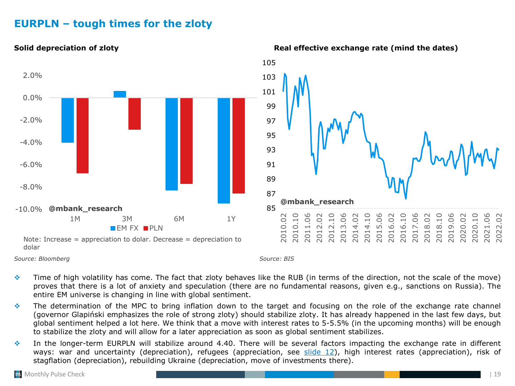## <span id="page-18-0"></span>**EURPLN – tough times for the zloty**



### **Solid depreciation of zloty** *Real effective exchange rate* **(mind the dates)**

❖ Time of high volatility has come. The fact that zloty behaves like the RUB (in terms of the direction, not the scale of the move) proves that there is a lot of anxiety and speculation (there are no fundamental reasons, given e.g., sanctions on Russia). The entire EM universe is changing in line with global sentiment.

- ❖ The determination of the MPC to bring inflation down to the target and focusing on the role of the exchange rate channel (governor Glapiński emphasizes the role of strong zloty) should stabilize zloty. It has already happened in the last few days, but global sentiment helped a lot here. We think that a move with interest rates to 5-5.5% (in the upcoming months) will be enough to stabilize the zloty and will allow for a later appreciation as soon as global sentiment stabilizes.
- ❖ In the longer-term EURPLN will stabilize around 4.40. There will be several factors impacting the exchange rate in different ways: war and uncertainty (depreciation), refugees (appreciation, see [slide](#page-11-0) 12), high interest rates (appreciation), risk of stagflation (depreciation), rebuilding Ukraine (depreciation, move of investments there).